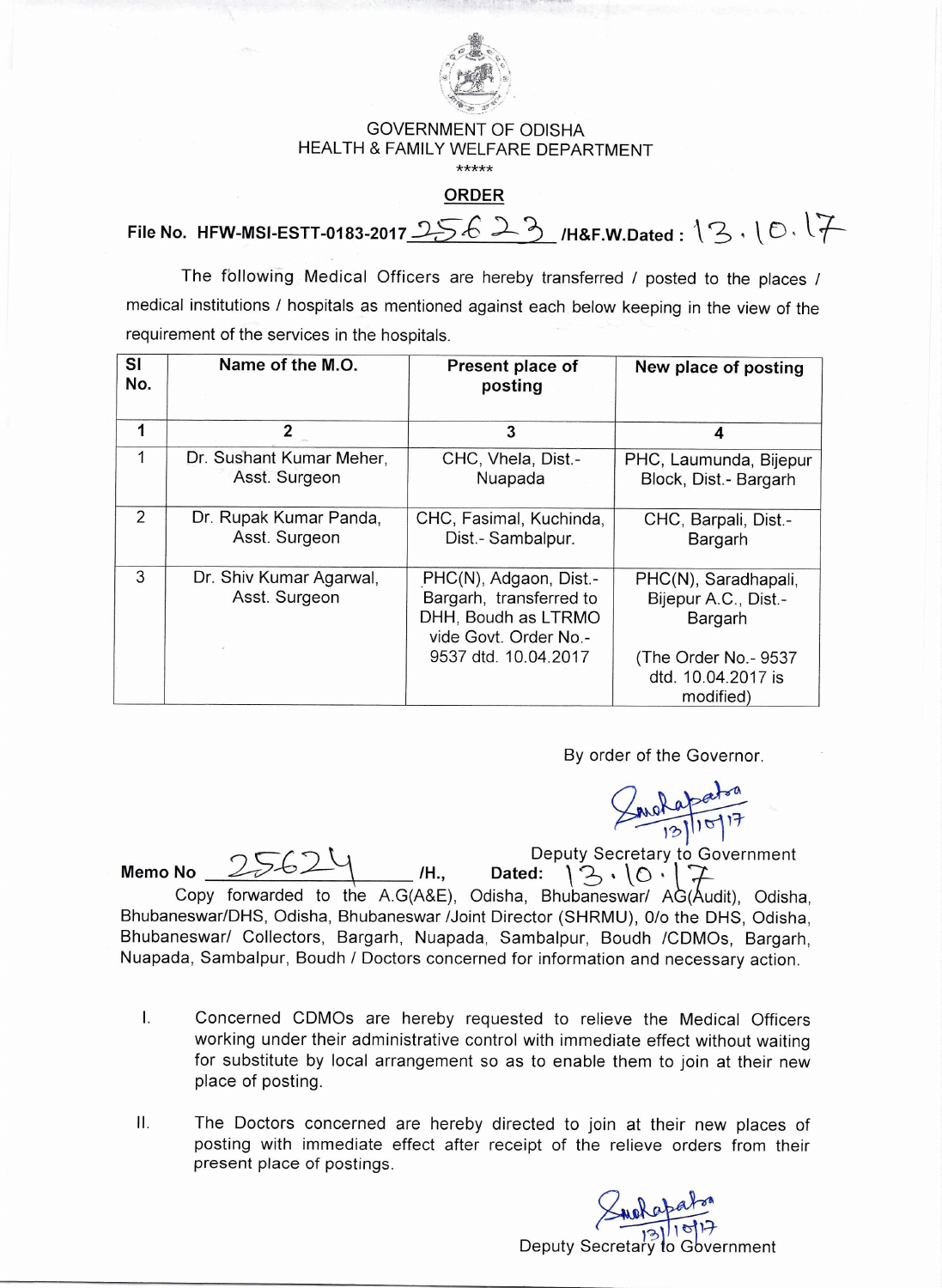

## GOVERNMENT OF ODISHA HEALTH & FAMILY WELFARE DEPARTMENT

\*\*\*\*\*

## **ORDER**

File No. HFW-MSI-ESTT-0183-2017  $25623$  /H&F.W.Dated :  $13.1017$ 

The following Medical Officers are hereby transferred / posted to the places / medical institutions / hospitals as mentioned against each below keeping in the view of the requirement of the services in the hospitals.

| <b>SI</b><br>No. | Name of the M.O.                          | Present place of<br>posting                                                                                               | New place of posting                                                                                  |
|------------------|-------------------------------------------|---------------------------------------------------------------------------------------------------------------------------|-------------------------------------------------------------------------------------------------------|
| 1                | $\overline{2}$                            | 3                                                                                                                         | 4                                                                                                     |
| 1                | Dr. Sushant Kumar Meher,<br>Asst. Surgeon | CHC, Vhela, Dist.-<br>Nuapada                                                                                             | PHC, Laumunda, Bijepur<br>Block, Dist.- Bargarh                                                       |
| 2                | Dr. Rupak Kumar Panda,<br>Asst. Surgeon   | CHC, Fasimal, Kuchinda,<br>Dist.- Sambalpur.                                                                              | CHC, Barpali, Dist.-<br>Bargarh                                                                       |
| 3                | Dr. Shiv Kumar Agarwal,<br>Asst. Surgeon  | PHC(N), Adgaon, Dist.-<br>Bargarh, transferred to<br>DHH, Boudh as LTRMO<br>vide Govt. Order No.-<br>9537 dtd. 10.04.2017 | PHC(N), Saradhapali,<br>Bijepur A.C., Dist.-<br>Bargarh<br>(The Order No.- 9537<br>dtd. 10.04.2017 is |
|                  |                                           |                                                                                                                           | modified)                                                                                             |

By order of the Governor.

 $310^{-17}$ 

Deputy Secretary to Government **Memo No**  $2562\%$  /H., Dated:  $3.10.17$ Copy forwarded to the A.G(A&E), Odisha, Bhubaneswar/  $AG(Audit)$ , Odisha, Bhubaneswar/DHS, Odisha, Bhubaneswar /Joint Director (SHRMU), 0/o the DHS, Odisha, Bhubaneswar/ Collectors, Bargarh, Nuapada, Sambalpur, Boudh /CDMOs, Bargarh, Nuapada, Sambalpur, Boudh / Doctors concerned for information and necessary action.

- I. Concerned CDMOs are hereby requested to relieve the Medical Officers working under their administrative control with immediate effect without waiting for substitute by local arrangement so as to enable them to join at their new place of posting.
- II. The Doctors concerned are hereby directed to join at their new places of posting with immediate effect after receipt of the relieve orders from their present place of postings.